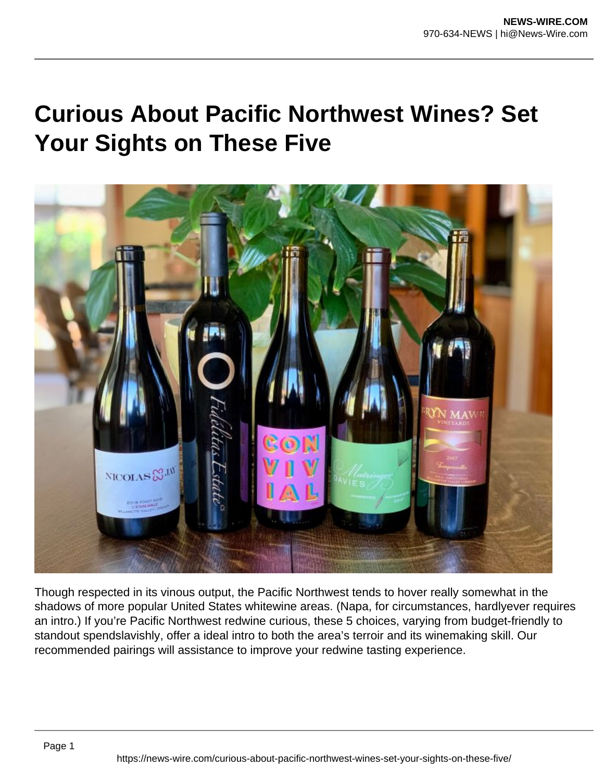## **Curious About Pacific Northwest Wines? Set Your Sights on These Five**



Though respected in its vinous output, the Pacific Northwest tends to hover really somewhat in the shadows of more popular United States whitewine areas. (Napa, for circumstances, hardlyever requires an intro.) If you're Pacific Northwest redwine curious, these 5 choices, varying from budget-friendly to standout spendslavishly, offer a ideal intro to both the area's terroir and its winemaking skill. Our recommended pairings will assistance to improve your redwine tasting experience.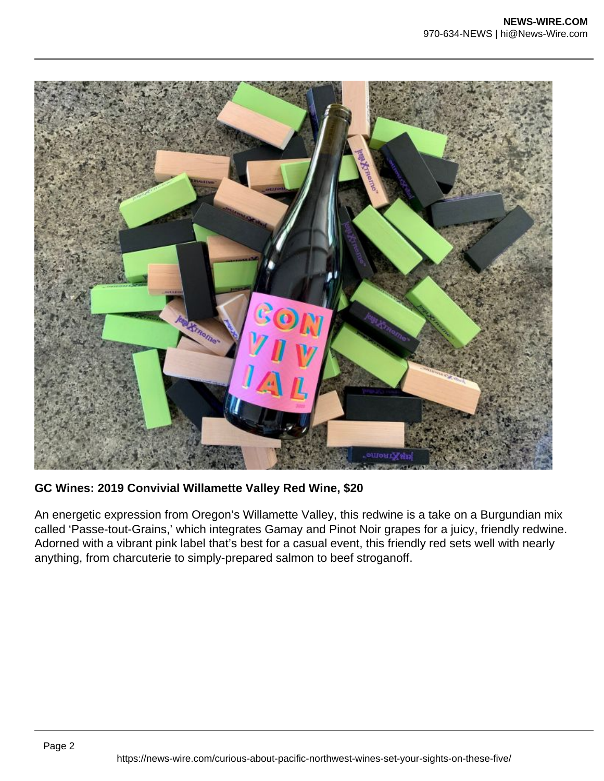

**GC Wines: 2019 Convivial Willamette Valley Red Wine, \$20**

An energetic expression from Oregon's Willamette Valley, this redwine is a take on a Burgundian mix called 'Passe-tout-Grains,' which integrates Gamay and Pinot Noir grapes for a juicy, friendly redwine. Adorned with a vibrant pink label that's best for a casual event, this friendly red sets well with nearly anything, from charcuterie to simply-prepared salmon to beef stroganoff.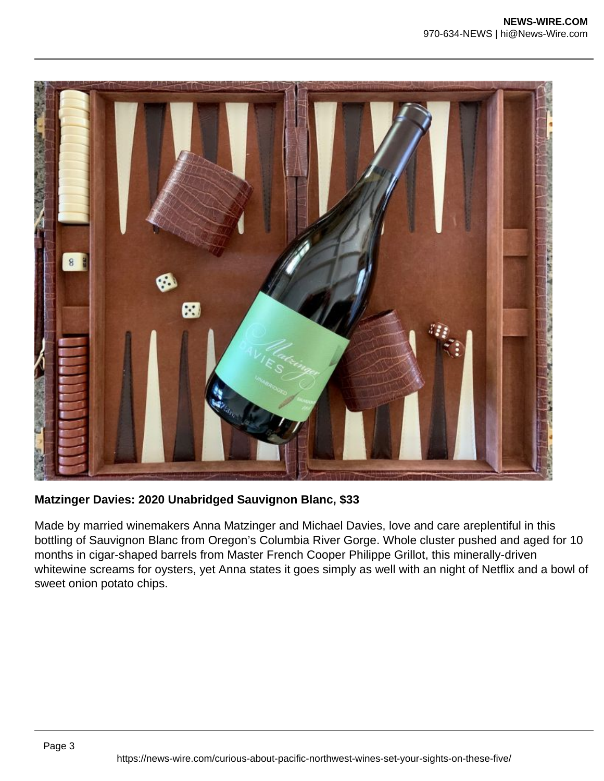

**Matzinger Davies: 2020 Unabridged Sauvignon Blanc, \$33**

Made by married winemakers Anna Matzinger and Michael Davies, love and care areplentiful in this bottling of Sauvignon Blanc from Oregon's Columbia River Gorge. Whole cluster pushed and aged for 10 months in cigar-shaped barrels from Master French Cooper Philippe Grillot, this minerally-driven whitewine screams for oysters, yet Anna states it goes simply as well with an night of Netflix and a bowl of sweet onion potato chips.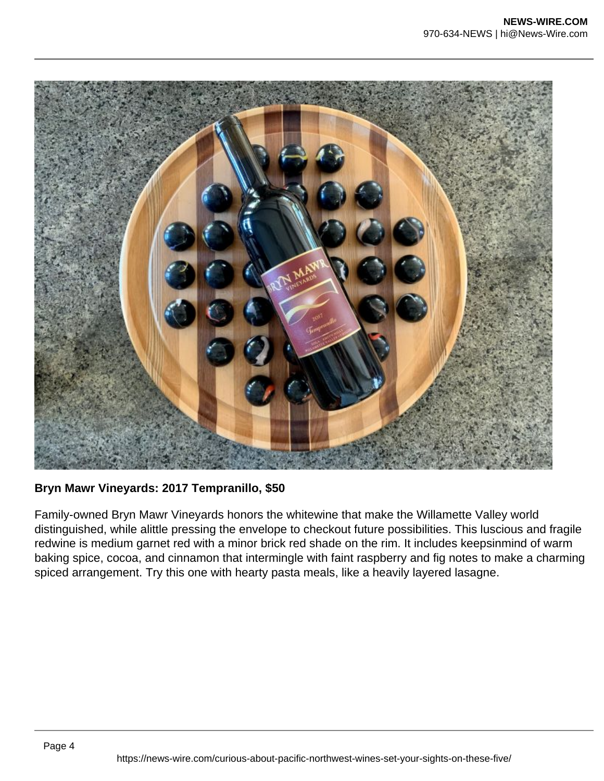

**Bryn Mawr Vineyards: 2017 Tempranillo, \$50**

Family-owned Bryn Mawr Vineyards honors the whitewine that make the Willamette Valley world distinguished, while alittle pressing the envelope to checkout future possibilities. This luscious and fragile redwine is medium garnet red with a minor brick red shade on the rim. It includes keepsinmind of warm baking spice, cocoa, and cinnamon that intermingle with faint raspberry and fig notes to make a charming spiced arrangement. Try this one with hearty pasta meals, like a heavily layered lasagne.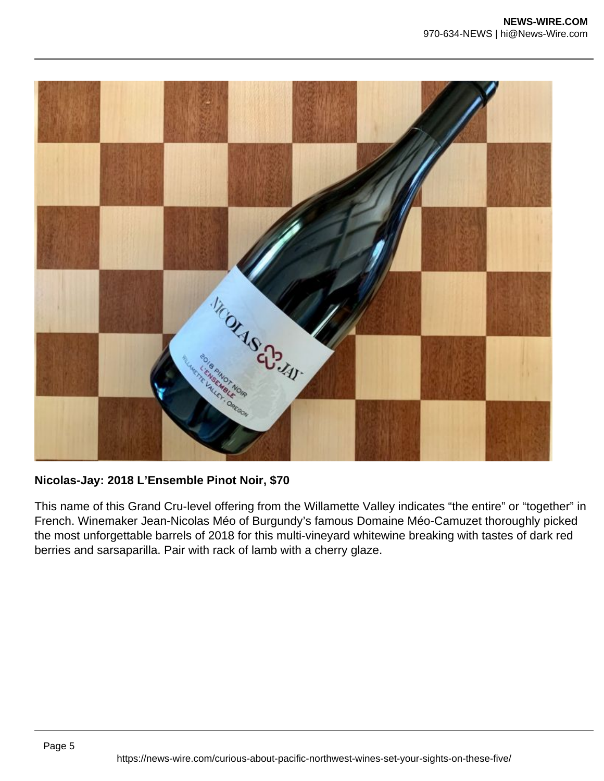

**Nicolas-Jay: 2018 L'Ensemble Pinot Noir, \$70**

This name of this Grand Cru-level offering from the Willamette Valley indicates "the entire" or "together" in French. Winemaker Jean-Nicolas Méo of Burgundy's famous Domaine Méo-Camuzet thoroughly picked the most unforgettable barrels of 2018 for this multi-vineyard whitewine breaking with tastes of dark red berries and sarsaparilla. Pair with rack of lamb with a cherry glaze.